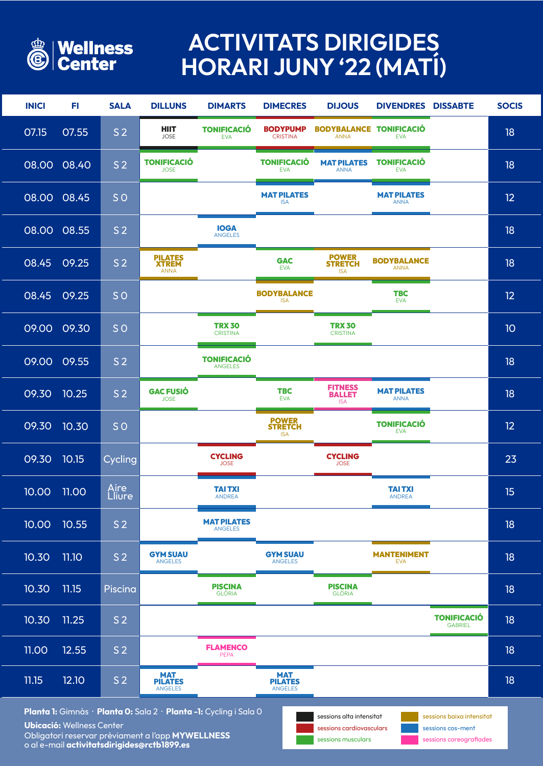Obligatori reservar prèviament a l'app **MYWELLNESS** o al e-mail **activitatsdirigides@rctb1899.es**



## **ACTIVITATS DIRIGIDES HORARI JUNY '22 (MATÍ)**

| <b>INICI</b>                                                                                                                                                                                             | FL.                | <b>SALA</b>            | <b>DILLUNS</b>                                 | <b>DIMARTS</b>                       | <b>DIMECRES</b>                                | <b>DIJOUS</b>                                 | <b>DIVENDRES DISSABTE</b>         |                                      | <b>SOCIS</b> |
|----------------------------------------------------------------------------------------------------------------------------------------------------------------------------------------------------------|--------------------|------------------------|------------------------------------------------|--------------------------------------|------------------------------------------------|-----------------------------------------------|-----------------------------------|--------------------------------------|--------------|
| 07.15                                                                                                                                                                                                    | 07.55              | S <sub>2</sub>         | <b>HIIT</b><br><b>JOSE</b>                     | <b>TONIFICACIÓ</b><br><b>EVA</b>     | <b>BODYPUMP</b><br><b>CRISTINA</b>             | <b>BODYBALANCE</b><br><b>ANNA</b>             | <b>TONIFICACIÓ</b><br><b>EVA</b>  |                                      | 18           |
|                                                                                                                                                                                                          | 08.00 08.40        | S <sub>2</sub>         | <b>TONIFICACIÓ</b><br><b>JOSE</b>              |                                      | <b>TONIFICACIÓ</b><br><b>EVA</b>               | <b>MAT PILATES</b><br><b>ANNA</b>             | <b>TONIFICACIÓ</b><br><b>EVA</b>  |                                      | 18           |
| 08.00 08.45                                                                                                                                                                                              |                    | SO <sub>1</sub>        |                                                |                                      | <b>MAT PILATES</b><br><b>ISA</b>               |                                               | <b>MAT PILATES</b><br><b>ANNA</b> |                                      | 12           |
| 08.00                                                                                                                                                                                                    | 08.55              | S <sub>2</sub>         |                                                | <b>IOGA</b><br><b>ANGELES</b>        |                                                |                                               |                                   |                                      | 18           |
| 08.45                                                                                                                                                                                                    | 09.25              | S <sub>2</sub>         | <b>PILATES<br/>XTREM</b><br><b>ANNA</b>        |                                      | <b>GAC</b><br><b>EVA</b>                       | <b>POWER</b><br><b>STRETCH</b><br><b>ISA</b>  | <b>BODYBALANCE</b><br><b>ANNA</b> |                                      | 18           |
| 08.45                                                                                                                                                                                                    | 09.25              | SO <sub>1</sub>        |                                                |                                      | <b>BODYBALANCE</b><br><b>ISA</b>               |                                               | <b>TBC</b><br><b>EVA</b>          |                                      | 12           |
| 09.00                                                                                                                                                                                                    | 09.30              | SO <sub>1</sub>        |                                                | <b>TRX 30</b><br><b>CRISTINA</b>     |                                                | <b>TRX 30</b><br><b>CRISTINA</b>              |                                   |                                      | 10           |
| 09.00                                                                                                                                                                                                    | 09.55              | S <sub>2</sub>         |                                                | <b>TONIFICACIÓ</b><br><b>ANGELES</b> |                                                |                                               |                                   |                                      | 18           |
| 09.30 10.25                                                                                                                                                                                              |                    | S <sub>2</sub>         | <b>GAC FUSIÓ</b><br><b>JOSE</b>                |                                      | <b>TBC</b><br><b>EVA</b>                       | <b>FITNESS</b><br><b>BALLET</b><br><b>ISA</b> | <b>MAT PILATES</b><br><b>ANNA</b> |                                      | 18           |
| 09.30                                                                                                                                                                                                    | 10.30              | SO <sub>1</sub>        |                                                |                                      | <b>POWER<br/>STRETCH</b><br><b>ISA</b>         |                                               | <b>TONIFICACIÓ</b><br><b>EVA</b>  |                                      | 12           |
| 09.30                                                                                                                                                                                                    | 10.15              | Cycling                |                                                | <b>CYCLING</b><br><b>JOSE</b>        |                                                | <b>CYCLING</b><br><b>JOSE</b>                 |                                   |                                      | 23           |
| 10.00                                                                                                                                                                                                    | $\overline{11.00}$ | <b>Aire<br/>Lliure</b> |                                                | <b>TAITXI</b><br><b>ANDREA</b>       |                                                |                                               | <b>TAITXI</b><br><b>ANDREA</b>    |                                      | 15           |
| $\overline{10.00}$                                                                                                                                                                                       | 10.55              | S <sub>2</sub>         |                                                | <b>MAT PILATES</b><br><b>ANGELES</b> |                                                |                                               |                                   |                                      | 18           |
| 10.30                                                                                                                                                                                                    | <b>11.10</b>       | S <sub>2</sub>         | <b>GYM SUAU</b><br><b>ANGELES</b>              |                                      | <b>GYM SUAU</b><br><b>ANGELES</b>              |                                               | <b>MANTENIMENT</b><br><b>EVA</b>  |                                      | 18           |
| 10.30                                                                                                                                                                                                    | 11.15              | Piscina                |                                                | <b>PISCINA</b><br>GLÒRIA             |                                                | <b>PISCINA</b><br><b>GLÒRIA</b>               |                                   |                                      | 18           |
| 10.30                                                                                                                                                                                                    | 11.25              | S <sub>2</sub>         |                                                |                                      |                                                |                                               |                                   | <b>TONIFICACIÓ</b><br><b>GABRIEL</b> | 18           |
| 11.00                                                                                                                                                                                                    | 12.55              | S <sub>2</sub>         |                                                | <b>FLAMENCO</b><br><b>PEPA</b>       |                                                |                                               |                                   |                                      | 18           |
| 11.15                                                                                                                                                                                                    | 12.10              | S <sub>2</sub>         | <b>MAT</b><br><b>PILATES</b><br><b>ANGELES</b> |                                      | <b>MAT</b><br><b>PILATES</b><br><b>ANGELES</b> |                                               |                                   |                                      | 18           |
| Planta 1: Gimnàs · Planta 0: Sala 2 · Planta -1: Cycling i Sala 0<br>sessions alta intensitat<br>sessions baixa intensitat<br>Ubicació: Wellness Center<br>sessions cardiovasculars<br>sessions cos-ment |                    |                        |                                                |                                      |                                                |                                               |                                   |                                      |              |